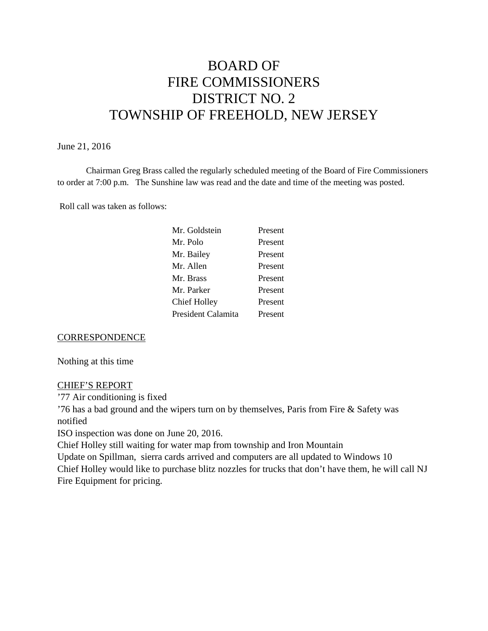# BOARD OF FIRE COMMISSIONERS DISTRICT NO. 2 TOWNSHIP OF FREEHOLD, NEW JERSEY

# June 21, 2016

Chairman Greg Brass called the regularly scheduled meeting of the Board of Fire Commissioners to order at 7:00 p.m. The Sunshine law was read and the date and time of the meeting was posted.

Roll call was taken as follows:

| Present |
|---------|
| Present |
| Present |
| Present |
| Present |
| Present |
| Present |
| Present |
|         |

### **CORRESPONDENCE**

Nothing at this time

### CHIEF'S REPORT

'77 Air conditioning is fixed

'76 has a bad ground and the wipers turn on by themselves, Paris from Fire & Safety was notified

ISO inspection was done on June 20, 2016.

Chief Holley still waiting for water map from township and Iron Mountain

Update on Spillman, sierra cards arrived and computers are allupdated to Windows 10 Chief Holley would like to purchase blitz nozzles for trucks that don't have them, he will call NJ Fire Equipment for pricing.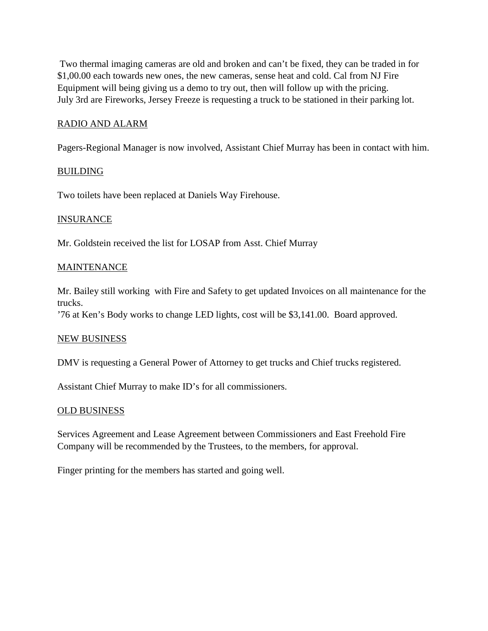Two thermal imaging cameras are old and broken and can't be fixed, they can be traded in for \$1,00.00 each towards new ones, the new cameras, sense heat and cold. Cal from NJ Fire Equipment will being giving us a demo to try out, then will follow up with the pricing. July 3rd are Fireworks, Jersey Freeze is requesting a truck to be stationed in their parking lot.

# RADIO AND ALARM

Pagers-Regional Manager is now involved, Assistant Chief Murray has been in contact with him.

# **BUILDING**

Two toilets have been replaced at Daniels Way Firehouse.

# **INSURANCE**

Mr. Goldstein received the list for LOSAP from Asst. Chief Murray

### **MAINTENANCE**

Mr. Bailey still working with Fire and Safety to get updated Invoices on all maintenance for the trucks.

'76 at Ken's Body works to change LED lights, cost will be \$3,141.00. Board approved.

### NEW BUSINESS

DMV is requesting a General Power of Attorney to get trucks and Chief trucks registered.

Assistant Chief Murray to make ID's for all commissioners.

### OLD BUSINESS

Services Agreement and Lease Agreement between Commissioners and East Freehold Fire Company will be recommended by the Trustees, to the members, for approval.

Finger printing for the members has started and going well.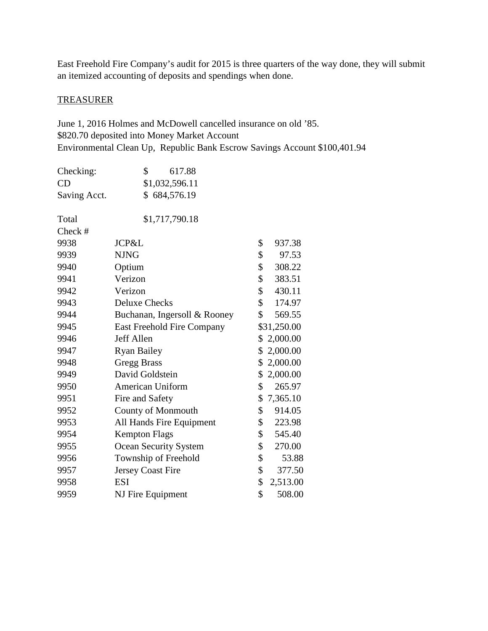East Freehold Fire Company's audit for 2015 is three quarters of the way done, they will submit an itemized accounting of deposits and spendings when done.

# **TREASURER**

June 1, 2016 Holmes and McDowell cancelled insurance on old '85. \$820.70 deposited into Money Market Account Environmental Clean Up, Republic Bank Escrow Savings Account \$100,401.94

| Checking:    | \$<br>617.88                 |                |
|--------------|------------------------------|----------------|
| CD           | \$1,032,596.11               |                |
| Saving Acct. | \$684,576.19                 |                |
| Total        | \$1,717,790.18               |                |
| Check #      |                              |                |
| 9938         | JCP&L                        | \$<br>937.38   |
| 9939         | <b>NJNG</b>                  | \$<br>97.53    |
| 9940         | Optium                       | \$<br>308.22   |
| 9941         | Verizon                      | \$<br>383.51   |
| 9942         | Verizon                      | \$<br>430.11   |
| 9943         | <b>Deluxe Checks</b>         | \$<br>174.97   |
| 9944         | Buchanan, Ingersoll & Rooney | \$<br>569.55   |
| 9945         | East Freehold Fire Company   | \$31,250.00    |
| 9946         | Jeff Allen                   | 2,000.00<br>\$ |
| 9947         | <b>Ryan Bailey</b>           | \$<br>2,000.00 |
| 9948         | <b>Gregg Brass</b>           | 2,000.00<br>\$ |
| 9949         | David Goldstein              | \$<br>2,000.00 |
| 9950         | American Uniform             | \$<br>265.97   |
| 9951         | Fire and Safety              | \$<br>7,365.10 |
| 9952         | County of Monmouth           | \$<br>914.05   |
| 9953         | All Hands Fire Equipment     | \$<br>223.98   |
| 9954         | <b>Kempton Flags</b>         | \$<br>545.40   |
| 9955         | Ocean Security System        | \$<br>270.00   |
| 9956         | Township of Freehold         | \$<br>53.88    |
| 9957         | Jersey Coast Fire            | \$<br>377.50   |
| 9958         | <b>ESI</b>                   | \$<br>2,513.00 |
| 9959         | NJ Fire Equipment            | \$<br>508.00   |